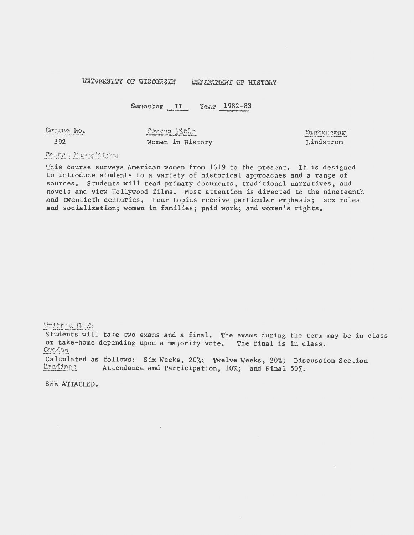## UNIVERSITY OF WISCONSIN DEPARTMENT OF HISTORY

Semaster II Year 1982-83

Courna No.

392

Course Title Women in History Instructor<sup>.</sup> Lindstrom

## Comune Duscaripuion

This course surveys American women from 1619 to the present. It is designed to introduce students to a variety of historical approaches and a range of sources. Students will read primary documents, traditional narratives, and novels and view Hollywood films. Most attention is directed to the nineteenth and twentieth centuries. Four topics receive particular emphasis; sex roles and socialization; women in families; paid work; and women's rights.

Huitaan Work

Students will take two exams and a final. The exams during the term may be in class or take-home depending upon a majority vote. The final is in class.  $G$ sados

Calculated as follows: Six Weeks, 20%; Twelve Weeks, 20%; Discussion Section Readings Attendance and Participation. 10%; and Final 50%. Attendance and Participation,  $10\%$ ; and Final 50%.

SEE ATTACHED.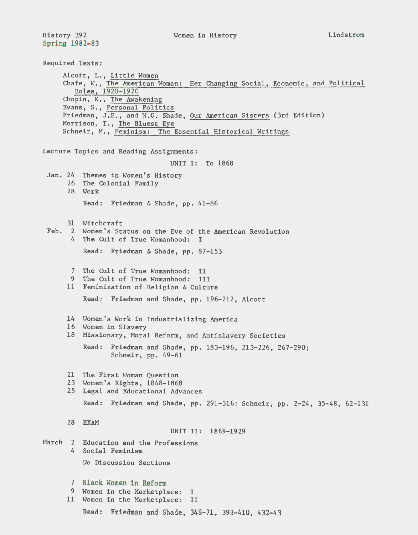History 392 Spring 1982-83

Required Texts: Alcott, L., Little Women Chafe, W., The American Woman: Her Changing Social, Economic, and Political Roles, 1920-1970 Chopin, K., The Awakening Evans, s., Personal Politics Friedman, J.E., and W.G. Shade, Our American Sisters (3rd Edition) Morrison, T., The Bluest Eye Schneir, M., Feminism: The Essential Historical Writings Lecture Topics and Reading Assignments: Jan. 24 Themes in Women's History 26 The Colonial Family 28 Work UNIT I: To 1868 Read: Friedman & Shade, pp. 41-86 31 Witchcraft Feb. 2 Women's Status on the Eve of the American Revolution 4 The Cult of True Womanhood: I Read: Friedman & Shade, pp. 87-153 7 The Cult of True Womanhood: II 9 The Cult of True Womanhood: III 11 Feminization of Religion & Culture Read: Friedman and Shade, pp. 196-212, Alcott 14 Women's Work in Industrializing America 16 Women in Slavery 18 Missionary, Moral Reform, and Antislavery Societies Read: Friedman and Shade, pp. 183-196, 213-226, 267-290; Schneir, pp. 49-61 21 The First Woman Question 23 Women's Rights, 1848-1868 25 Legal and Educational Advances Read: Friedman and Shade, pp. 291-316 ; Schneir, pp. 2-24, 35-48, 62-131 28 EXAM UNIT II: 1869-1929 March 2 Education and the Professions 4 Social Feminism Ho Discussion Sections 7 Black Women in Reform 9 Women in the Marketplace: I 11 Women in the Marketplace: II Read: Friedman and Shade, 348-71, 393-410, 432-43